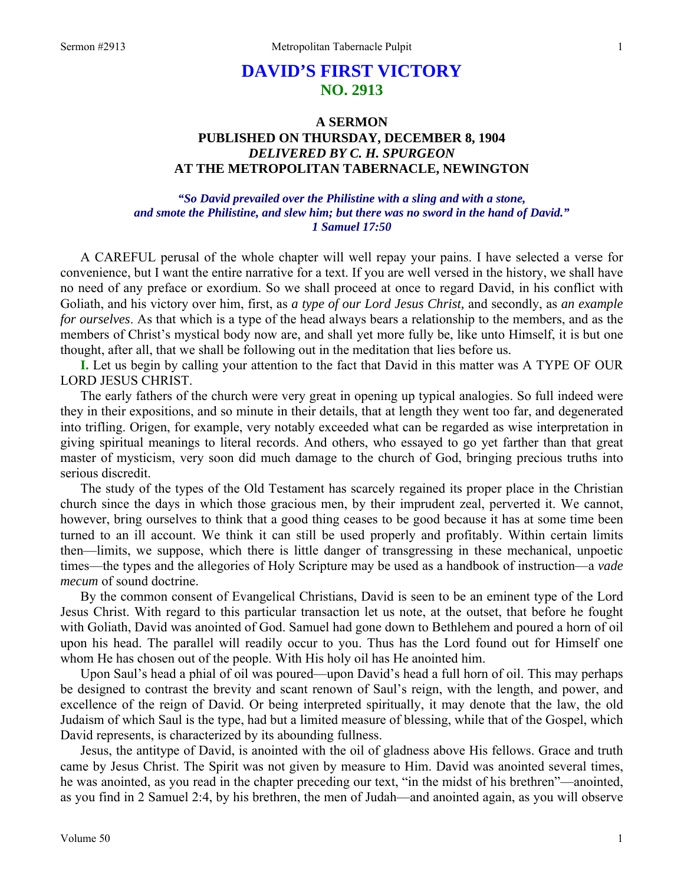# **DAVID'S FIRST VICTORY NO. 2913**

## **A SERMON PUBLISHED ON THURSDAY, DECEMBER 8, 1904**  *DELIVERED BY C. H. SPURGEON*  **AT THE METROPOLITAN TABERNACLE, NEWINGTON**

### *"So David prevailed over the Philistine with a sling and with a stone, and smote the Philistine, and slew him; but there was no sword in the hand of David." 1 Samuel 17:50*

A CAREFUL perusal of the whole chapter will well repay your pains. I have selected a verse for convenience, but I want the entire narrative for a text. If you are well versed in the history, we shall have no need of any preface or exordium. So we shall proceed at once to regard David, in his conflict with Goliath, and his victory over him, first, as *a type of our Lord Jesus Christ,* and secondly, as *an example for ourselves*. As that which is a type of the head always bears a relationship to the members, and as the members of Christ's mystical body now are, and shall yet more fully be, like unto Himself, it is but one thought, after all, that we shall be following out in the meditation that lies before us.

**I.** Let us begin by calling your attention to the fact that David in this matter was A TYPE OF OUR LORD JESUS CHRIST.

The early fathers of the church were very great in opening up typical analogies. So full indeed were they in their expositions, and so minute in their details, that at length they went too far, and degenerated into trifling. Origen, for example, very notably exceeded what can be regarded as wise interpretation in giving spiritual meanings to literal records. And others, who essayed to go yet farther than that great master of mysticism, very soon did much damage to the church of God, bringing precious truths into serious discredit.

The study of the types of the Old Testament has scarcely regained its proper place in the Christian church since the days in which those gracious men, by their imprudent zeal, perverted it. We cannot, however, bring ourselves to think that a good thing ceases to be good because it has at some time been turned to an ill account. We think it can still be used properly and profitably. Within certain limits then—limits, we suppose, which there is little danger of transgressing in these mechanical, unpoetic times—the types and the allegories of Holy Scripture may be used as a handbook of instruction—a *vade mecum* of sound doctrine.

By the common consent of Evangelical Christians, David is seen to be an eminent type of the Lord Jesus Christ. With regard to this particular transaction let us note, at the outset, that before he fought with Goliath, David was anointed of God. Samuel had gone down to Bethlehem and poured a horn of oil upon his head. The parallel will readily occur to you. Thus has the Lord found out for Himself one whom He has chosen out of the people. With His holy oil has He anointed him.

Upon Saul's head a phial of oil was poured—upon David's head a full horn of oil. This may perhaps be designed to contrast the brevity and scant renown of Saul's reign, with the length, and power, and excellence of the reign of David. Or being interpreted spiritually, it may denote that the law, the old Judaism of which Saul is the type, had but a limited measure of blessing, while that of the Gospel, which David represents, is characterized by its abounding fullness.

Jesus, the antitype of David, is anointed with the oil of gladness above His fellows. Grace and truth came by Jesus Christ. The Spirit was not given by measure to Him. David was anointed several times, he was anointed, as you read in the chapter preceding our text, "in the midst of his brethren"—anointed, as you find in 2 Samuel 2:4, by his brethren, the men of Judah—and anointed again, as you will observe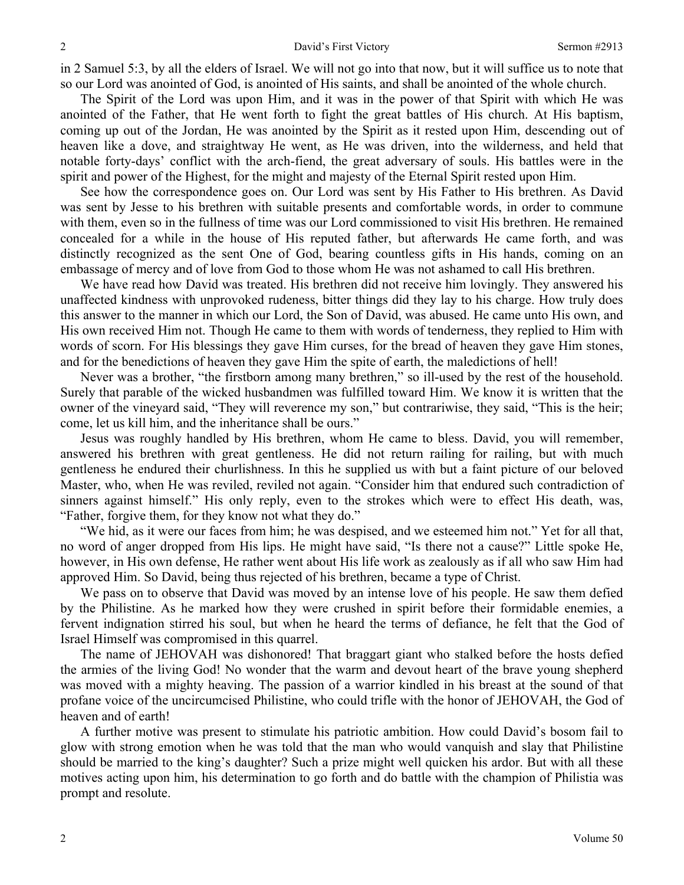in 2 Samuel 5:3, by all the elders of Israel. We will not go into that now, but it will suffice us to note that so our Lord was anointed of God, is anointed of His saints, and shall be anointed of the whole church.

The Spirit of the Lord was upon Him, and it was in the power of that Spirit with which He was anointed of the Father, that He went forth to fight the great battles of His church. At His baptism, coming up out of the Jordan, He was anointed by the Spirit as it rested upon Him, descending out of heaven like a dove, and straightway He went, as He was driven, into the wilderness, and held that notable forty-days' conflict with the arch-fiend, the great adversary of souls. His battles were in the spirit and power of the Highest, for the might and majesty of the Eternal Spirit rested upon Him.

See how the correspondence goes on. Our Lord was sent by His Father to His brethren. As David was sent by Jesse to his brethren with suitable presents and comfortable words, in order to commune with them, even so in the fullness of time was our Lord commissioned to visit His brethren. He remained concealed for a while in the house of His reputed father, but afterwards He came forth, and was distinctly recognized as the sent One of God, bearing countless gifts in His hands, coming on an embassage of mercy and of love from God to those whom He was not ashamed to call His brethren.

We have read how David was treated. His brethren did not receive him lovingly. They answered his unaffected kindness with unprovoked rudeness, bitter things did they lay to his charge. How truly does this answer to the manner in which our Lord, the Son of David, was abused. He came unto His own, and His own received Him not. Though He came to them with words of tenderness, they replied to Him with words of scorn. For His blessings they gave Him curses, for the bread of heaven they gave Him stones, and for the benedictions of heaven they gave Him the spite of earth, the maledictions of hell!

Never was a brother, "the firstborn among many brethren," so ill-used by the rest of the household. Surely that parable of the wicked husbandmen was fulfilled toward Him. We know it is written that the owner of the vineyard said, "They will reverence my son," but contrariwise, they said, "This is the heir; come, let us kill him, and the inheritance shall be ours."

Jesus was roughly handled by His brethren, whom He came to bless. David, you will remember, answered his brethren with great gentleness. He did not return railing for railing, but with much gentleness he endured their churlishness. In this he supplied us with but a faint picture of our beloved Master, who, when He was reviled, reviled not again. "Consider him that endured such contradiction of sinners against himself." His only reply, even to the strokes which were to effect His death, was, "Father, forgive them, for they know not what they do."

"We hid, as it were our faces from him; he was despised, and we esteemed him not." Yet for all that, no word of anger dropped from His lips. He might have said, "Is there not a cause?" Little spoke He, however, in His own defense, He rather went about His life work as zealously as if all who saw Him had approved Him. So David, being thus rejected of his brethren, became a type of Christ.

We pass on to observe that David was moved by an intense love of his people. He saw them defied by the Philistine. As he marked how they were crushed in spirit before their formidable enemies, a fervent indignation stirred his soul, but when he heard the terms of defiance, he felt that the God of Israel Himself was compromised in this quarrel.

The name of JEHOVAH was dishonored! That braggart giant who stalked before the hosts defied the armies of the living God! No wonder that the warm and devout heart of the brave young shepherd was moved with a mighty heaving. The passion of a warrior kindled in his breast at the sound of that profane voice of the uncircumcised Philistine, who could trifle with the honor of JEHOVAH, the God of heaven and of earth!

A further motive was present to stimulate his patriotic ambition. How could David's bosom fail to glow with strong emotion when he was told that the man who would vanquish and slay that Philistine should be married to the king's daughter? Such a prize might well quicken his ardor. But with all these motives acting upon him, his determination to go forth and do battle with the champion of Philistia was prompt and resolute.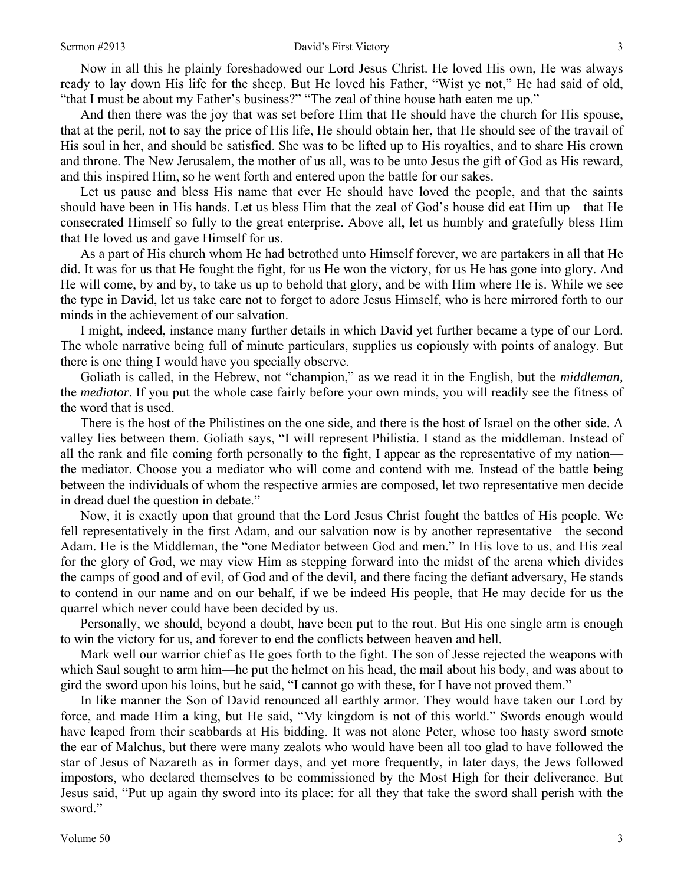Now in all this he plainly foreshadowed our Lord Jesus Christ. He loved His own, He was always ready to lay down His life for the sheep. But He loved his Father, "Wist ye not," He had said of old, "that I must be about my Father's business?" "The zeal of thine house hath eaten me up."

And then there was the joy that was set before Him that He should have the church for His spouse, that at the peril, not to say the price of His life, He should obtain her, that He should see of the travail of His soul in her, and should be satisfied. She was to be lifted up to His royalties, and to share His crown and throne. The New Jerusalem, the mother of us all, was to be unto Jesus the gift of God as His reward, and this inspired Him, so he went forth and entered upon the battle for our sakes.

Let us pause and bless His name that ever He should have loved the people, and that the saints should have been in His hands. Let us bless Him that the zeal of God's house did eat Him up—that He consecrated Himself so fully to the great enterprise. Above all, let us humbly and gratefully bless Him that He loved us and gave Himself for us.

As a part of His church whom He had betrothed unto Himself forever, we are partakers in all that He did. It was for us that He fought the fight, for us He won the victory, for us He has gone into glory. And He will come, by and by, to take us up to behold that glory, and be with Him where He is. While we see the type in David, let us take care not to forget to adore Jesus Himself, who is here mirrored forth to our minds in the achievement of our salvation.

I might, indeed, instance many further details in which David yet further became a type of our Lord. The whole narrative being full of minute particulars, supplies us copiously with points of analogy. But there is one thing I would have you specially observe.

Goliath is called, in the Hebrew, not "champion," as we read it in the English, but the *middleman,* the *mediator*. If you put the whole case fairly before your own minds, you will readily see the fitness of the word that is used.

There is the host of the Philistines on the one side, and there is the host of Israel on the other side. A valley lies between them. Goliath says, "I will represent Philistia. I stand as the middleman. Instead of all the rank and file coming forth personally to the fight, I appear as the representative of my nation the mediator. Choose you a mediator who will come and contend with me. Instead of the battle being between the individuals of whom the respective armies are composed, let two representative men decide in dread duel the question in debate."

Now, it is exactly upon that ground that the Lord Jesus Christ fought the battles of His people. We fell representatively in the first Adam, and our salvation now is by another representative—the second Adam. He is the Middleman, the "one Mediator between God and men." In His love to us, and His zeal for the glory of God, we may view Him as stepping forward into the midst of the arena which divides the camps of good and of evil, of God and of the devil, and there facing the defiant adversary, He stands to contend in our name and on our behalf, if we be indeed His people, that He may decide for us the quarrel which never could have been decided by us.

Personally, we should, beyond a doubt, have been put to the rout. But His one single arm is enough to win the victory for us, and forever to end the conflicts between heaven and hell.

Mark well our warrior chief as He goes forth to the fight. The son of Jesse rejected the weapons with which Saul sought to arm him—he put the helmet on his head, the mail about his body, and was about to gird the sword upon his loins, but he said, "I cannot go with these, for I have not proved them."

In like manner the Son of David renounced all earthly armor. They would have taken our Lord by force, and made Him a king, but He said, "My kingdom is not of this world." Swords enough would have leaped from their scabbards at His bidding. It was not alone Peter, whose too hasty sword smote the ear of Malchus, but there were many zealots who would have been all too glad to have followed the star of Jesus of Nazareth as in former days, and yet more frequently, in later days, the Jews followed impostors, who declared themselves to be commissioned by the Most High for their deliverance. But Jesus said, "Put up again thy sword into its place: for all they that take the sword shall perish with the sword."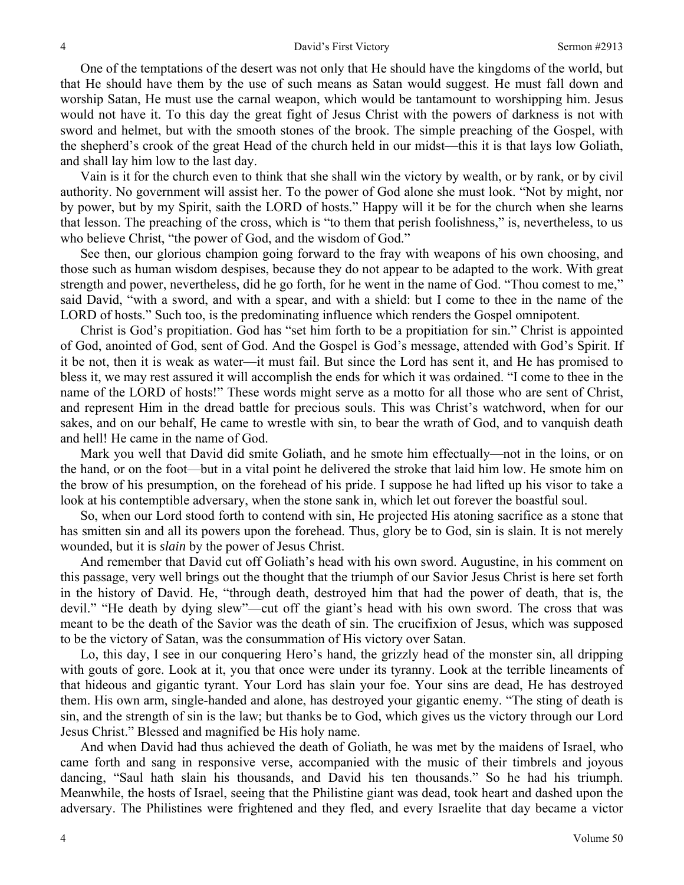One of the temptations of the desert was not only that He should have the kingdoms of the world, but that He should have them by the use of such means as Satan would suggest. He must fall down and worship Satan, He must use the carnal weapon, which would be tantamount to worshipping him. Jesus would not have it. To this day the great fight of Jesus Christ with the powers of darkness is not with sword and helmet, but with the smooth stones of the brook. The simple preaching of the Gospel, with the shepherd's crook of the great Head of the church held in our midst—this it is that lays low Goliath, and shall lay him low to the last day.

Vain is it for the church even to think that she shall win the victory by wealth, or by rank, or by civil authority. No government will assist her. To the power of God alone she must look. "Not by might, nor by power, but by my Spirit, saith the LORD of hosts." Happy will it be for the church when she learns that lesson. The preaching of the cross, which is "to them that perish foolishness," is, nevertheless, to us who believe Christ, "the power of God, and the wisdom of God."

See then, our glorious champion going forward to the fray with weapons of his own choosing, and those such as human wisdom despises, because they do not appear to be adapted to the work. With great strength and power, nevertheless, did he go forth, for he went in the name of God. "Thou comest to me," said David, "with a sword, and with a spear, and with a shield: but I come to thee in the name of the LORD of hosts." Such too, is the predominating influence which renders the Gospel omnipotent.

Christ is God's propitiation. God has "set him forth to be a propitiation for sin." Christ is appointed of God, anointed of God, sent of God. And the Gospel is God's message, attended with God's Spirit. If it be not, then it is weak as water—it must fail. But since the Lord has sent it, and He has promised to bless it, we may rest assured it will accomplish the ends for which it was ordained. "I come to thee in the name of the LORD of hosts!" These words might serve as a motto for all those who are sent of Christ, and represent Him in the dread battle for precious souls. This was Christ's watchword, when for our sakes, and on our behalf, He came to wrestle with sin, to bear the wrath of God, and to vanquish death and hell! He came in the name of God.

Mark you well that David did smite Goliath, and he smote him effectually—not in the loins, or on the hand, or on the foot—but in a vital point he delivered the stroke that laid him low. He smote him on the brow of his presumption, on the forehead of his pride. I suppose he had lifted up his visor to take a look at his contemptible adversary, when the stone sank in, which let out forever the boastful soul.

So, when our Lord stood forth to contend with sin, He projected His atoning sacrifice as a stone that has smitten sin and all its powers upon the forehead. Thus, glory be to God, sin is slain. It is not merely wounded, but it is *slain* by the power of Jesus Christ.

And remember that David cut off Goliath's head with his own sword. Augustine, in his comment on this passage, very well brings out the thought that the triumph of our Savior Jesus Christ is here set forth in the history of David. He, "through death, destroyed him that had the power of death, that is, the devil." "He death by dying slew"—cut off the giant's head with his own sword. The cross that was meant to be the death of the Savior was the death of sin. The crucifixion of Jesus, which was supposed to be the victory of Satan, was the consummation of His victory over Satan.

Lo, this day, I see in our conquering Hero's hand, the grizzly head of the monster sin, all dripping with gouts of gore. Look at it, you that once were under its tyranny. Look at the terrible lineaments of that hideous and gigantic tyrant. Your Lord has slain your foe. Your sins are dead, He has destroyed them. His own arm, single-handed and alone, has destroyed your gigantic enemy. "The sting of death is sin, and the strength of sin is the law; but thanks be to God, which gives us the victory through our Lord Jesus Christ." Blessed and magnified be His holy name.

And when David had thus achieved the death of Goliath, he was met by the maidens of Israel, who came forth and sang in responsive verse, accompanied with the music of their timbrels and joyous dancing, "Saul hath slain his thousands, and David his ten thousands." So he had his triumph. Meanwhile, the hosts of Israel, seeing that the Philistine giant was dead, took heart and dashed upon the adversary. The Philistines were frightened and they fled, and every Israelite that day became a victor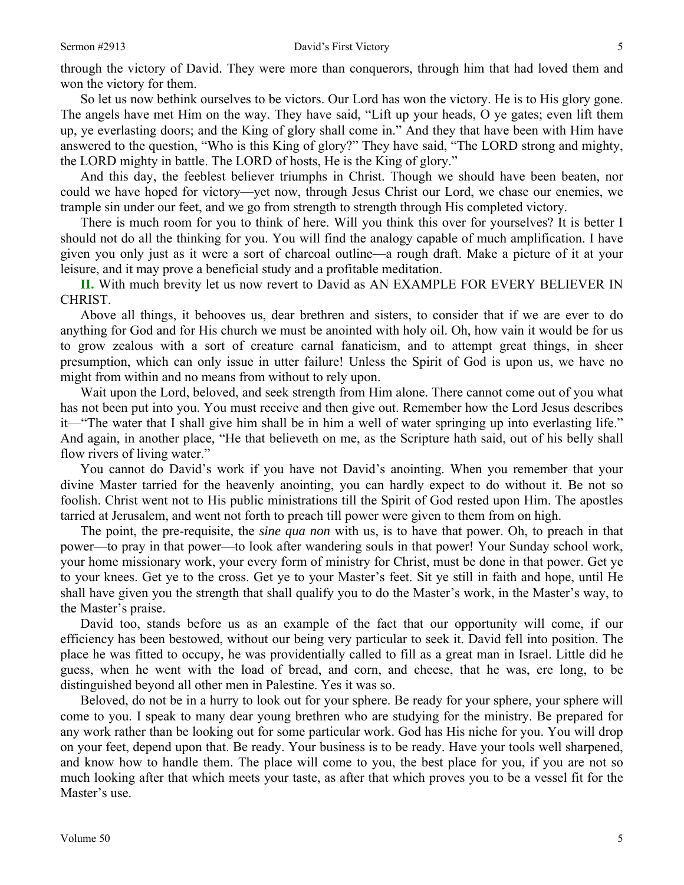So let us now bethink ourselves to be victors. Our Lord has won the victory. He is to His glory gone. The angels have met Him on the way. They have said, "Lift up your heads, O ye gates; even lift them up, ye everlasting doors; and the King of glory shall come in." And they that have been with Him have answered to the question, "Who is this King of glory?" They have said, "The LORD strong and mighty, the LORD mighty in battle. The LORD of hosts, He is the King of glory."

And this day, the feeblest believer triumphs in Christ. Though we should have been beaten, nor could we have hoped for victory—yet now, through Jesus Christ our Lord, we chase our enemies, we trample sin under our feet, and we go from strength to strength through His completed victory.

There is much room for you to think of here. Will you think this over for yourselves? It is better I should not do all the thinking for you. You will find the analogy capable of much amplification. I have given you only just as it were a sort of charcoal outline—a rough draft. Make a picture of it at your leisure, and it may prove a beneficial study and a profitable meditation.

**II.** With much brevity let us now revert to David as AN EXAMPLE FOR EVERY BELIEVER IN CHRIST.

Above all things, it behooves us, dear brethren and sisters, to consider that if we are ever to do anything for God and for His church we must be anointed with holy oil. Oh, how vain it would be for us to grow zealous with a sort of creature carnal fanaticism, and to attempt great things, in sheer presumption, which can only issue in utter failure! Unless the Spirit of God is upon us, we have no might from within and no means from without to rely upon.

Wait upon the Lord, beloved, and seek strength from Him alone. There cannot come out of you what has not been put into you. You must receive and then give out. Remember how the Lord Jesus describes it—"The water that I shall give him shall be in him a well of water springing up into everlasting life." And again, in another place, "He that believeth on me, as the Scripture hath said, out of his belly shall flow rivers of living water."

You cannot do David's work if you have not David's anointing. When you remember that your divine Master tarried for the heavenly anointing, you can hardly expect to do without it. Be not so foolish. Christ went not to His public ministrations till the Spirit of God rested upon Him. The apostles tarried at Jerusalem, and went not forth to preach till power were given to them from on high.

The point, the pre-requisite, the *sine qua non* with us, is to have that power. Oh, to preach in that power—to pray in that power—to look after wandering souls in that power! Your Sunday school work, your home missionary work, your every form of ministry for Christ, must be done in that power. Get ye to your knees. Get ye to the cross. Get ye to your Master's feet. Sit ye still in faith and hope, until He shall have given you the strength that shall qualify you to do the Master's work, in the Master's way, to the Master's praise.

David too, stands before us as an example of the fact that our opportunity will come, if our efficiency has been bestowed, without our being very particular to seek it. David fell into position. The place he was fitted to occupy, he was providentially called to fill as a great man in Israel. Little did he guess, when he went with the load of bread, and corn, and cheese, that he was, ere long, to be distinguished beyond all other men in Palestine. Yes it was so.

Beloved, do not be in a hurry to look out for your sphere. Be ready for your sphere, your sphere will come to you. I speak to many dear young brethren who are studying for the ministry. Be prepared for any work rather than be looking out for some particular work. God has His niche for you. You will drop on your feet, depend upon that. Be ready. Your business is to be ready. Have your tools well sharpened, and know how to handle them. The place will come to you, the best place for you, if you are not so much looking after that which meets your taste, as after that which proves you to be a vessel fit for the Master's use.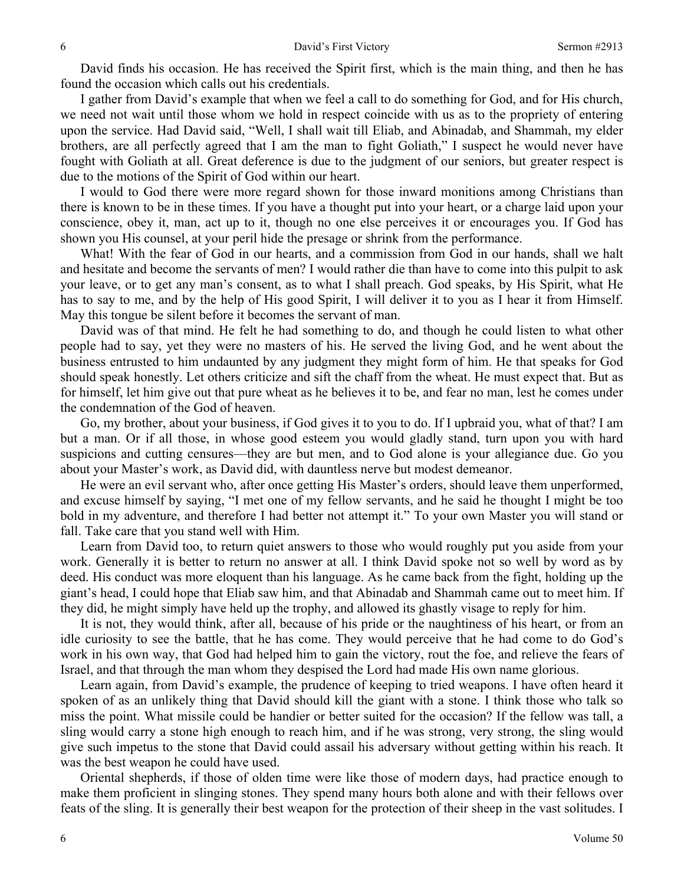David finds his occasion. He has received the Spirit first, which is the main thing, and then he has found the occasion which calls out his credentials.

I gather from David's example that when we feel a call to do something for God, and for His church, we need not wait until those whom we hold in respect coincide with us as to the propriety of entering upon the service. Had David said, "Well, I shall wait till Eliab, and Abinadab, and Shammah, my elder brothers, are all perfectly agreed that I am the man to fight Goliath," I suspect he would never have fought with Goliath at all. Great deference is due to the judgment of our seniors, but greater respect is due to the motions of the Spirit of God within our heart.

I would to God there were more regard shown for those inward monitions among Christians than there is known to be in these times. If you have a thought put into your heart, or a charge laid upon your conscience, obey it, man, act up to it, though no one else perceives it or encourages you. If God has shown you His counsel, at your peril hide the presage or shrink from the performance.

What! With the fear of God in our hearts, and a commission from God in our hands, shall we halt and hesitate and become the servants of men? I would rather die than have to come into this pulpit to ask your leave, or to get any man's consent, as to what I shall preach. God speaks, by His Spirit, what He has to say to me, and by the help of His good Spirit, I will deliver it to you as I hear it from Himself. May this tongue be silent before it becomes the servant of man.

David was of that mind. He felt he had something to do, and though he could listen to what other people had to say, yet they were no masters of his. He served the living God, and he went about the business entrusted to him undaunted by any judgment they might form of him. He that speaks for God should speak honestly. Let others criticize and sift the chaff from the wheat. He must expect that. But as for himself, let him give out that pure wheat as he believes it to be, and fear no man, lest he comes under the condemnation of the God of heaven.

Go, my brother, about your business, if God gives it to you to do. If I upbraid you, what of that? I am but a man. Or if all those, in whose good esteem you would gladly stand, turn upon you with hard suspicions and cutting censures—they are but men, and to God alone is your allegiance due. Go you about your Master's work, as David did, with dauntless nerve but modest demeanor.

He were an evil servant who, after once getting His Master's orders, should leave them unperformed, and excuse himself by saying, "I met one of my fellow servants, and he said he thought I might be too bold in my adventure, and therefore I had better not attempt it." To your own Master you will stand or fall. Take care that you stand well with Him.

Learn from David too, to return quiet answers to those who would roughly put you aside from your work. Generally it is better to return no answer at all. I think David spoke not so well by word as by deed. His conduct was more eloquent than his language. As he came back from the fight, holding up the giant's head, I could hope that Eliab saw him, and that Abinadab and Shammah came out to meet him. If they did, he might simply have held up the trophy, and allowed its ghastly visage to reply for him.

It is not, they would think, after all, because of his pride or the naughtiness of his heart, or from an idle curiosity to see the battle, that he has come. They would perceive that he had come to do God's work in his own way, that God had helped him to gain the victory, rout the foe, and relieve the fears of Israel, and that through the man whom they despised the Lord had made His own name glorious.

Learn again, from David's example, the prudence of keeping to tried weapons. I have often heard it spoken of as an unlikely thing that David should kill the giant with a stone. I think those who talk so miss the point. What missile could be handier or better suited for the occasion? If the fellow was tall, a sling would carry a stone high enough to reach him, and if he was strong, very strong, the sling would give such impetus to the stone that David could assail his adversary without getting within his reach. It was the best weapon he could have used.

Oriental shepherds, if those of olden time were like those of modern days, had practice enough to make them proficient in slinging stones. They spend many hours both alone and with their fellows over feats of the sling. It is generally their best weapon for the protection of their sheep in the vast solitudes. I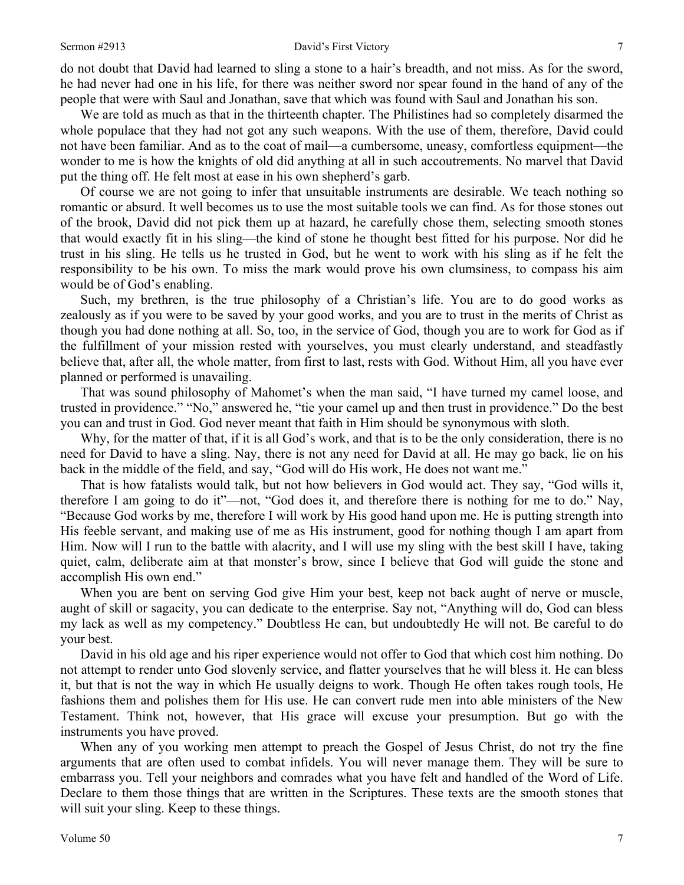do not doubt that David had learned to sling a stone to a hair's breadth, and not miss. As for the sword, he had never had one in his life, for there was neither sword nor spear found in the hand of any of the people that were with Saul and Jonathan, save that which was found with Saul and Jonathan his son.

We are told as much as that in the thirteenth chapter. The Philistines had so completely disarmed the whole populace that they had not got any such weapons. With the use of them, therefore, David could not have been familiar. And as to the coat of mail—a cumbersome, uneasy, comfortless equipment—the wonder to me is how the knights of old did anything at all in such accoutrements. No marvel that David put the thing off. He felt most at ease in his own shepherd's garb.

Of course we are not going to infer that unsuitable instruments are desirable. We teach nothing so romantic or absurd. It well becomes us to use the most suitable tools we can find. As for those stones out of the brook, David did not pick them up at hazard, he carefully chose them, selecting smooth stones that would exactly fit in his sling—the kind of stone he thought best fitted for his purpose. Nor did he trust in his sling. He tells us he trusted in God, but he went to work with his sling as if he felt the responsibility to be his own. To miss the mark would prove his own clumsiness, to compass his aim would be of God's enabling.

Such, my brethren, is the true philosophy of a Christian's life. You are to do good works as zealously as if you were to be saved by your good works, and you are to trust in the merits of Christ as though you had done nothing at all. So, too, in the service of God, though you are to work for God as if the fulfillment of your mission rested with yourselves, you must clearly understand, and steadfastly believe that, after all, the whole matter, from first to last, rests with God. Without Him, all you have ever planned or performed is unavailing.

That was sound philosophy of Mahomet's when the man said, "I have turned my camel loose, and trusted in providence." "No," answered he, "tie your camel up and then trust in providence." Do the best you can and trust in God. God never meant that faith in Him should be synonymous with sloth.

Why, for the matter of that, if it is all God's work, and that is to be the only consideration, there is no need for David to have a sling. Nay, there is not any need for David at all. He may go back, lie on his back in the middle of the field, and say, "God will do His work, He does not want me."

That is how fatalists would talk, but not how believers in God would act. They say, "God wills it, therefore I am going to do it"—not, "God does it, and therefore there is nothing for me to do." Nay, "Because God works by me, therefore I will work by His good hand upon me. He is putting strength into His feeble servant, and making use of me as His instrument, good for nothing though I am apart from Him. Now will I run to the battle with alacrity, and I will use my sling with the best skill I have, taking quiet, calm, deliberate aim at that monster's brow, since I believe that God will guide the stone and accomplish His own end."

When you are bent on serving God give Him your best, keep not back aught of nerve or muscle, aught of skill or sagacity, you can dedicate to the enterprise. Say not, "Anything will do, God can bless my lack as well as my competency." Doubtless He can, but undoubtedly He will not. Be careful to do your best.

David in his old age and his riper experience would not offer to God that which cost him nothing. Do not attempt to render unto God slovenly service, and flatter yourselves that he will bless it. He can bless it, but that is not the way in which He usually deigns to work. Though He often takes rough tools, He fashions them and polishes them for His use. He can convert rude men into able ministers of the New Testament. Think not, however, that His grace will excuse your presumption. But go with the instruments you have proved.

When any of you working men attempt to preach the Gospel of Jesus Christ, do not try the fine arguments that are often used to combat infidels. You will never manage them. They will be sure to embarrass you. Tell your neighbors and comrades what you have felt and handled of the Word of Life. Declare to them those things that are written in the Scriptures. These texts are the smooth stones that will suit your sling. Keep to these things.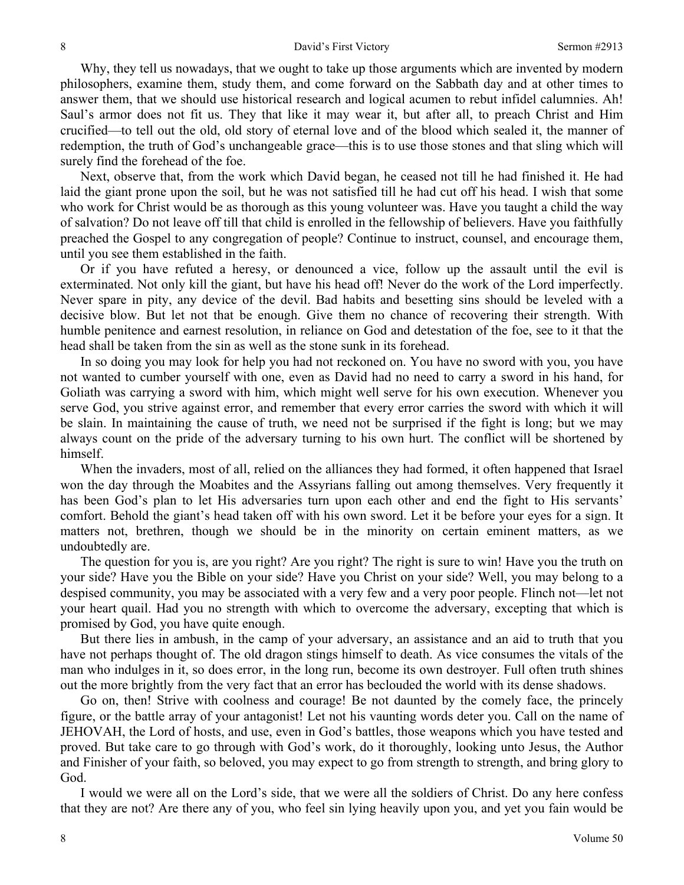Why, they tell us nowadays, that we ought to take up those arguments which are invented by modern philosophers, examine them, study them, and come forward on the Sabbath day and at other times to answer them, that we should use historical research and logical acumen to rebut infidel calumnies. Ah! Saul's armor does not fit us. They that like it may wear it, but after all, to preach Christ and Him crucified—to tell out the old, old story of eternal love and of the blood which sealed it, the manner of redemption, the truth of God's unchangeable grace—this is to use those stones and that sling which will surely find the forehead of the foe.

Next, observe that, from the work which David began, he ceased not till he had finished it. He had laid the giant prone upon the soil, but he was not satisfied till he had cut off his head. I wish that some who work for Christ would be as thorough as this young volunteer was. Have you taught a child the way of salvation? Do not leave off till that child is enrolled in the fellowship of believers. Have you faithfully preached the Gospel to any congregation of people? Continue to instruct, counsel, and encourage them, until you see them established in the faith.

Or if you have refuted a heresy, or denounced a vice, follow up the assault until the evil is exterminated. Not only kill the giant, but have his head off! Never do the work of the Lord imperfectly. Never spare in pity, any device of the devil. Bad habits and besetting sins should be leveled with a decisive blow. But let not that be enough. Give them no chance of recovering their strength. With humble penitence and earnest resolution, in reliance on God and detestation of the foe, see to it that the head shall be taken from the sin as well as the stone sunk in its forehead.

In so doing you may look for help you had not reckoned on. You have no sword with you, you have not wanted to cumber yourself with one, even as David had no need to carry a sword in his hand, for Goliath was carrying a sword with him, which might well serve for his own execution. Whenever you serve God, you strive against error, and remember that every error carries the sword with which it will be slain. In maintaining the cause of truth, we need not be surprised if the fight is long; but we may always count on the pride of the adversary turning to his own hurt. The conflict will be shortened by himself.

When the invaders, most of all, relied on the alliances they had formed, it often happened that Israel won the day through the Moabites and the Assyrians falling out among themselves. Very frequently it has been God's plan to let His adversaries turn upon each other and end the fight to His servants' comfort. Behold the giant's head taken off with his own sword. Let it be before your eyes for a sign. It matters not, brethren, though we should be in the minority on certain eminent matters, as we undoubtedly are.

The question for you is, are you right? Are you right? The right is sure to win! Have you the truth on your side? Have you the Bible on your side? Have you Christ on your side? Well, you may belong to a despised community, you may be associated with a very few and a very poor people. Flinch not—let not your heart quail. Had you no strength with which to overcome the adversary, excepting that which is promised by God, you have quite enough.

But there lies in ambush, in the camp of your adversary, an assistance and an aid to truth that you have not perhaps thought of. The old dragon stings himself to death. As vice consumes the vitals of the man who indulges in it, so does error, in the long run, become its own destroyer. Full often truth shines out the more brightly from the very fact that an error has beclouded the world with its dense shadows.

Go on, then! Strive with coolness and courage! Be not daunted by the comely face, the princely figure, or the battle array of your antagonist! Let not his vaunting words deter you. Call on the name of JEHOVAH, the Lord of hosts, and use, even in God's battles, those weapons which you have tested and proved. But take care to go through with God's work, do it thoroughly, looking unto Jesus, the Author and Finisher of your faith, so beloved, you may expect to go from strength to strength, and bring glory to God.

I would we were all on the Lord's side, that we were all the soldiers of Christ. Do any here confess that they are not? Are there any of you, who feel sin lying heavily upon you, and yet you fain would be